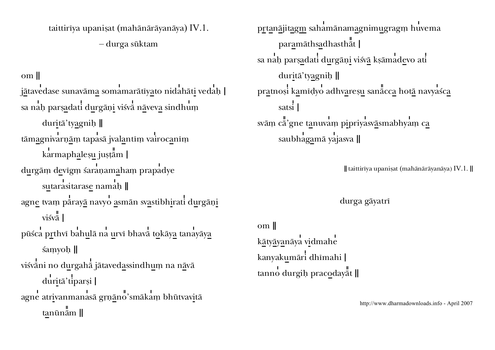taittirīya upanisat (mahānārāyanāya) IV.1. - durga sūktam

om II

jātavedase sunavāma somamarātīyato nidahāti vedah [ sa nah parsadati durgāņi visvā nāveva sindhum duritā' tyagnih || tāmagnivarņām tapasā jvalantīm vairocanīm karmaphalesu justām | durgām devigm śaranamaham prapadye sutarasitarase namah || agne tvam pārayā navyo asmān svastibhirati durgāņi  $visv\overline{a}$ pūśca prthvī bahulā na urvī bhava tokāya tanayāya samyoh || viśvāni no durgahā jātavedassindhum na nāvā duritā' tiparși | agne atrivanmanasā grņāno'smākam bhūtvavitā  $tan\bar{a}$ m ||

prtanājitagm sahamānamagnimugragm huvema paramāthsadhasthat | sa nah parsadati durgāņi visvā ksāmadevo ati duritā' tyagnih || pratnosi kamīdyo adhvaresu sanācca hotā navyaśca satsi | svām cā'gne tanuvam pipriyasvāsmabhyam ca saubhagamā yajasva ||

|| taittirīya upanisat (mahānārāyanāya) IV.1. ||

durga gāyatrī

om II kātyāyanāya vidmahe kanyakumāri dhīmahi | tanno durgih pracodayat ||

http://www.dharmadownloads.info - April 2007